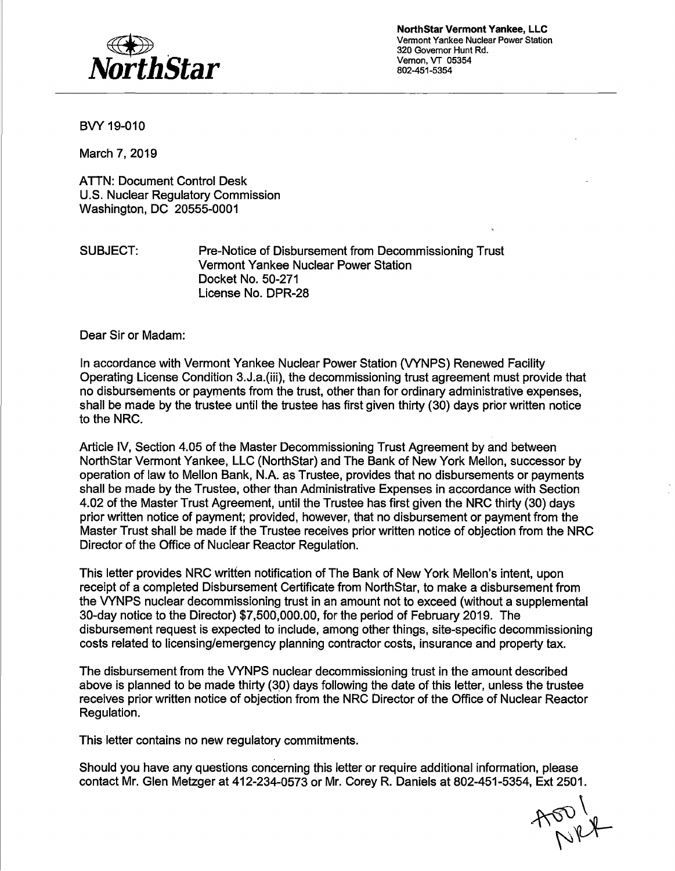

**Northstar Vermont Yankee, LLC**  Vermont Yankee Nuclear Power Station 320 Governor Hunt Rd. Vernon, VT 05354 802-451-5354

BVY 19-010

March 7, 2019

ATTN: Document Control Desk U.S. Nuclear Regulatory Commission Washington, DC 20555-0001

SUBJECT: Pre-Notice of Disbursement from Decommissioning Trust Vermont Yankee Nuclear Power Station Docket No. 50-271 License No. DPR-28

Dear Sir or Madam:

In accordance with Vermont Yankee Nuclear Power Station (VYNPS) Renewed Facility Operating License Condition 3.J.a.(iii), the decommissioning trust agreement must provide that no disbursements or payments from the trust, other than for ordinary administrative expenses, shall be made by the trustee until the trustee has first given thirty (30) days prior written notice to the NRC.

Article IV, Section 4.05 of the Master Decommissioning Trust Agreement by and between Northstar Vermont Yankee, LLC (Northstar) and The Bank of New York Mellon, successor by operation of law to Mellon Bank, N.A. as Trustee, provides that no disbursements or payments shall be made by the Trustee, other than Administrative Expenses in accordance with Section 4.02 of the Master Trust Agreement, until the Trustee has first given the NRC thirty (30) days prior written notice of payment; provided, however, that no disbursement or payment from the Master Trust shall be made if the Trustee receives prior written notice of objection from the NRC Director of the Office of Nuclear Reactor Regulation.

This letter provides NRC written notification of The Bank of New York Mellon's intent, upon receipt of a completed Disbursement Certificate from Northstar, to make a disbursement from the VYNPS nuclear decommissioning trust in an amount not to exceed (without a supplemental 30-day notice to the Director) \$7,500,000.00, for the period of February 2019. The disbursement request is expected to include, among other things, site-specific decommissioning costs related to licensing/emergency planning contractor costs, insurance and property tax.

The disbursement from the VYNPS nuclear decommissioning trust in the amount described above is planned to be made thirty (30) days following the date of this letter, unless the trustee receives prior written notice of objection from the NRC Director of the Office of Nuclear Reactor Regulation.

This letter contains no new regulatory commitments.

Should you have any questions concerning this letter or require additional information, please contact Mr. Glen Metzger at 412-234-0573 or Mr. Corey R. Daniels at 802-451-5354, Ext 2501.

 $7001$